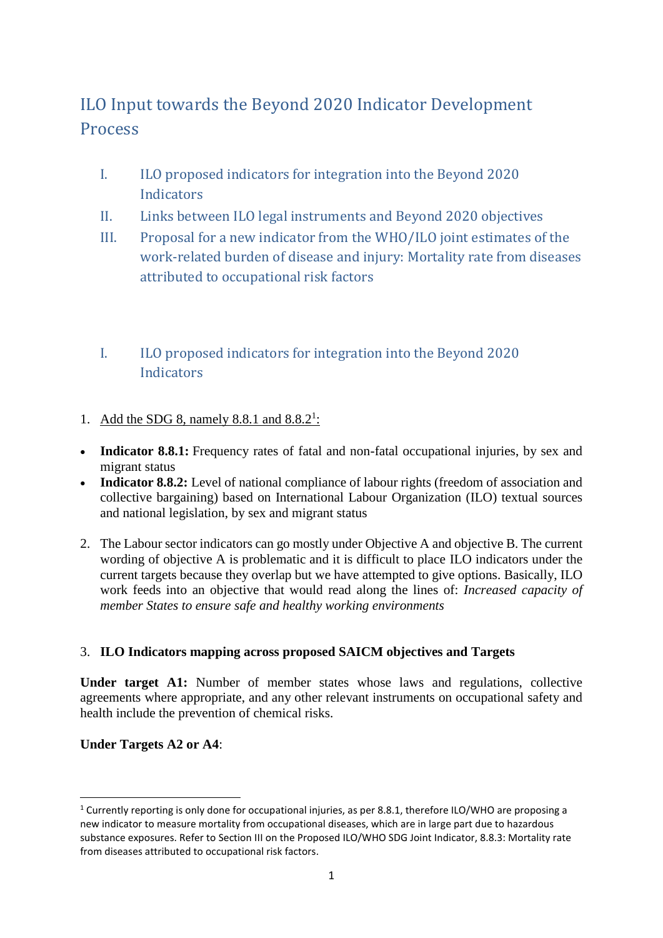# ILO Input towards the Beyond 2020 Indicator Development **Process**

- I. ILO proposed indicators for integration into the Beyond 2020 **Indicators**
- II. Links between ILO legal instruments and Beyond 2020 objectives
- III. Proposal for a new indicator from the WHO/ILO joint estimates of the work-related burden of disease and injury: Mortality rate from diseases attributed to occupational risk factors
- I. ILO proposed indicators for integration into the Beyond 2020 **Indicators**
- 1. Add the SDG 8, namely 8.8.1 and  $8.8.2<sup>1</sup>$ :
- **Indicator 8.8.1:** Frequency rates of fatal and non-fatal occupational injuries, by sex and migrant status
- **Indicator 8.8.2:** Level of national compliance of labour rights (freedom of association and collective bargaining) based on International Labour Organization (ILO) textual sources and national legislation, by sex and migrant status
- 2. The Labour sector indicators can go mostly under Objective A and objective B. The current wording of objective A is problematic and it is difficult to place ILO indicators under the current targets because they overlap but we have attempted to give options. Basically, ILO work feeds into an objective that would read along the lines of: *Increased capacity of member States to ensure safe and healthy working environments*

## 3. **ILO Indicators mapping across proposed SAICM objectives and Targets**

**Under target A1:** Number of member states whose laws and regulations, collective agreements where appropriate, and any other relevant instruments on occupational safety and health include the prevention of chemical risks.

## **Under Targets A2 or A4**:

1

<sup>&</sup>lt;sup>1</sup> Currently reporting is only done for occupational injuries, as per 8.8.1, therefore ILO/WHO are proposing a new indicator to measure mortality from occupational diseases, which are in large part due to hazardous substance exposures. Refer to Section III on the Proposed ILO/WHO SDG Joint Indicator, 8.8.3: Mortality rate from diseases attributed to occupational risk factors.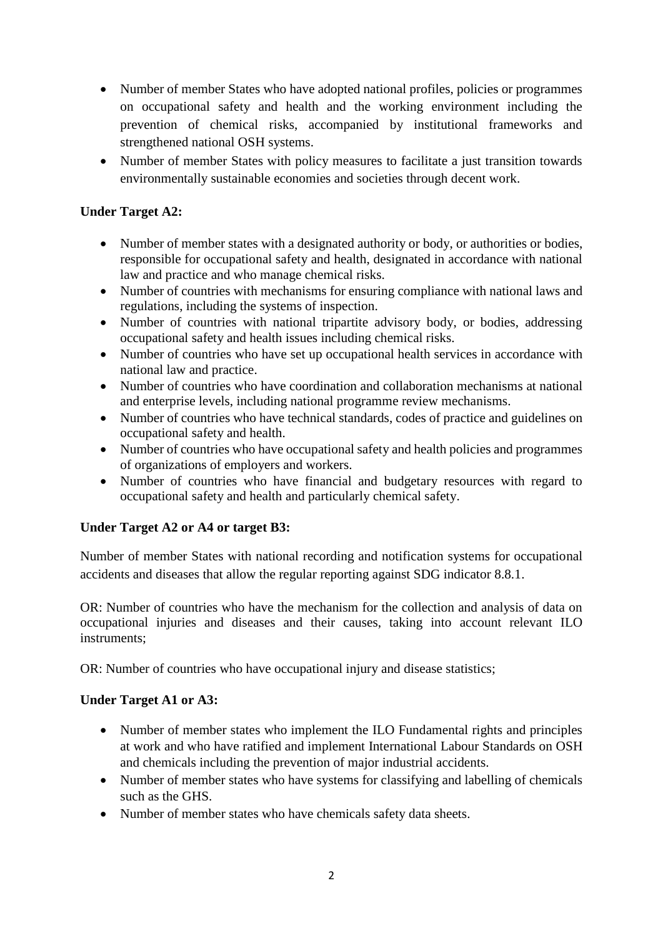- Number of member States who have adopted national profiles, policies or programmes on occupational safety and health and the working environment including the prevention of chemical risks, accompanied by institutional frameworks and strengthened national OSH systems.
- Number of member States with policy measures to facilitate a just transition towards environmentally sustainable economies and societies through decent work.

## **Under Target A2:**

- Number of member states with a designated authority or body, or authorities or bodies, responsible for occupational safety and health, designated in accordance with national law and practice and who manage chemical risks.
- Number of countries with mechanisms for ensuring compliance with national laws and regulations, including the systems of inspection.
- Number of countries with national tripartite advisory body, or bodies, addressing occupational safety and health issues including chemical risks.
- Number of countries who have set up occupational health services in accordance with national law and practice.
- Number of countries who have coordination and collaboration mechanisms at national and enterprise levels, including national programme review mechanisms.
- Number of countries who have technical standards, codes of practice and guidelines on occupational safety and health.
- Number of countries who have occupational safety and health policies and programmes of organizations of employers and workers.
- Number of countries who have financial and budgetary resources with regard to occupational safety and health and particularly chemical safety.

## **Under Target A2 or A4 or target B3:**

Number of member States with national recording and notification systems for occupational accidents and diseases that allow the regular reporting against SDG indicator 8.8.1.

OR: Number of countries who have the mechanism for the collection and analysis of data on occupational injuries and diseases and their causes, taking into account relevant ILO instruments;

OR: Number of countries who have occupational injury and disease statistics;

## **Under Target A1 or A3:**

- Number of member states who implement the ILO Fundamental rights and principles at work and who have ratified and implement International Labour Standards on OSH and chemicals including the prevention of major industrial accidents.
- Number of member states who have systems for classifying and labelling of chemicals such as the GHS.
- Number of member states who have chemicals safety data sheets.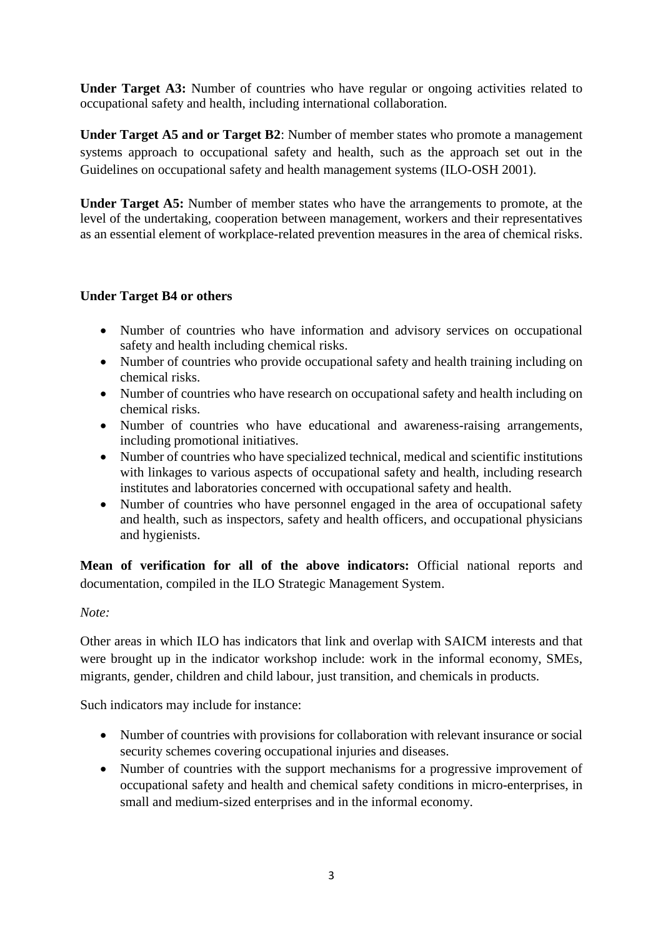**Under Target A3:** Number of countries who have regular or ongoing activities related to occupational safety and health, including international collaboration.

**Under Target A5 and or Target B2**: Number of member states who promote a management systems approach to occupational safety and health, such as the approach set out in the Guidelines on occupational safety and health management systems (ILO-OSH 2001).

**Under Target A5:** Number of member states who have the arrangements to promote, at the level of the undertaking, cooperation between management, workers and their representatives as an essential element of workplace-related prevention measures in the area of chemical risks.

## **Under Target B4 or others**

- Number of countries who have information and advisory services on occupational safety and health including chemical risks.
- Number of countries who provide occupational safety and health training including on chemical risks.
- Number of countries who have research on occupational safety and health including on chemical risks.
- Number of countries who have educational and awareness-raising arrangements, including promotional initiatives.
- Number of countries who have specialized technical, medical and scientific institutions with linkages to various aspects of occupational safety and health, including research institutes and laboratories concerned with occupational safety and health.
- Number of countries who have personnel engaged in the area of occupational safety and health, such as inspectors, safety and health officers, and occupational physicians and hygienists.

**Mean of verification for all of the above indicators:** Official national reports and documentation, compiled in the ILO Strategic Management System.

## *Note:*

Other areas in which ILO has indicators that link and overlap with SAICM interests and that were brought up in the indicator workshop include: work in the informal economy, SMEs, migrants, gender, children and child labour, just transition, and chemicals in products.

Such indicators may include for instance:

- Number of countries with provisions for collaboration with relevant insurance or social security schemes covering occupational injuries and diseases.
- Number of countries with the support mechanisms for a progressive improvement of occupational safety and health and chemical safety conditions in micro-enterprises, in small and medium-sized enterprises and in the informal economy.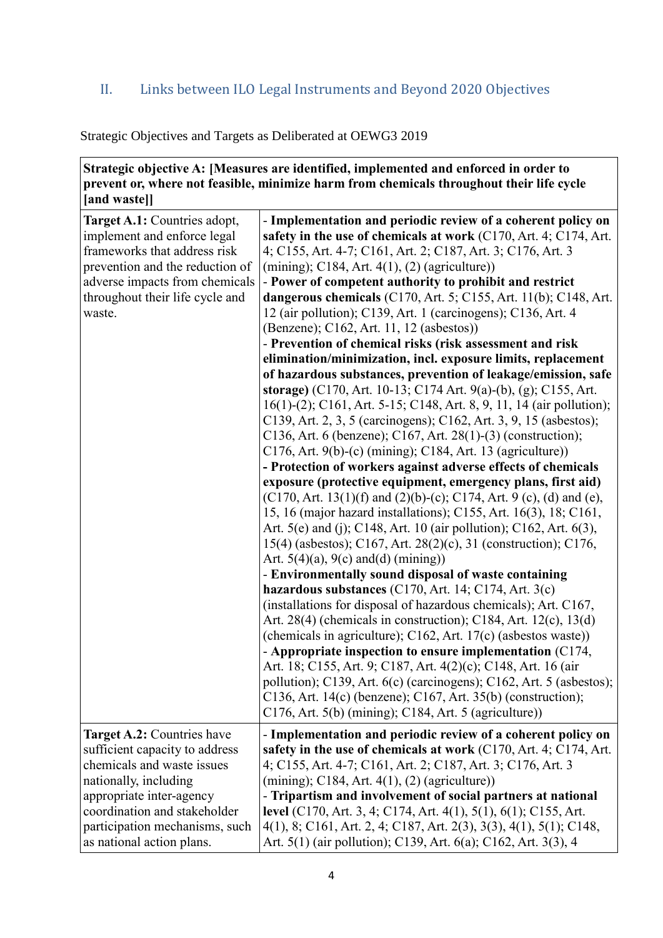## II. Links between ILO Legal Instruments and Beyond 2020 Objectives

## Strategic Objectives and Targets as Deliberated at OEWG3 2019

| Strategic objective A: [Measures are identified, implemented and enforced in order to    |
|------------------------------------------------------------------------------------------|
| prevent or, where not feasible, minimize harm from chemicals throughout their life cycle |
| [and waste]]                                                                             |

| Target A.1: Countries adopt,      | - Implementation and periodic review of a coherent policy on             |  |  |  |
|-----------------------------------|--------------------------------------------------------------------------|--|--|--|
| implement and enforce legal       | safety in the use of chemicals at work (C170, Art. 4; C174, Art.         |  |  |  |
| frameworks that address risk      | 4; C155, Art. 4-7; C161, Art. 2; C187, Art. 3; C176, Art. 3              |  |  |  |
| prevention and the reduction of   | $(\text{mining})$ ; C184, Art. 4(1), (2) (agriculture))                  |  |  |  |
| adverse impacts from chemicals    | - Power of competent authority to prohibit and restrict                  |  |  |  |
| throughout their life cycle and   | dangerous chemicals (C170, Art. 5; C155, Art. 11(b); C148, Art.          |  |  |  |
| waste.                            | 12 (air pollution); C139, Art. 1 (carcinogens); C136, Art. 4             |  |  |  |
|                                   | (Benzene); C162, Art. 11, 12 (asbestos))                                 |  |  |  |
|                                   | - Prevention of chemical risks (risk assessment and risk                 |  |  |  |
|                                   | elimination/minimization, incl. exposure limits, replacement             |  |  |  |
|                                   | of hazardous substances, prevention of leakage/emission, safe            |  |  |  |
|                                   | storage) (C170, Art. 10-13; C174 Art. 9(a)-(b), (g); C155, Art.          |  |  |  |
|                                   | 16(1)-(2); C161, Art. 5-15; C148, Art. 8, 9, 11, 14 (air pollution);     |  |  |  |
|                                   | C139, Art. 2, 3, 5 (carcinogens); C162, Art. 3, 9, 15 (asbestos);        |  |  |  |
|                                   | C136, Art. 6 (benzene); C167, Art. 28(1)-(3) (construction);             |  |  |  |
|                                   | $C176$ , Art. 9(b)-(c) (mining); C184, Art. 13 (agriculture))            |  |  |  |
|                                   | - Protection of workers against adverse effects of chemicals             |  |  |  |
|                                   | exposure (protective equipment, emergency plans, first aid)              |  |  |  |
|                                   | $(C170, Art. 13(1)(f)$ and $(2)(b)-(c)$ ; C174, Art. 9 (c), (d) and (e), |  |  |  |
|                                   | 15, 16 (major hazard installations); C155, Art. 16(3), 18; C161,         |  |  |  |
|                                   | Art. 5(e) and (j); C148, Art. 10 (air pollution); C162, Art. 6(3),       |  |  |  |
|                                   | 15(4) (asbestos); C167, Art. 28(2)(c), 31 (construction); C176,          |  |  |  |
|                                   | Art. $5(4)(a)$ , $9(c)$ and(d) (mining))                                 |  |  |  |
|                                   | - Environmentally sound disposal of waste containing                     |  |  |  |
|                                   | hazardous substances $(C170, Art. 14; C174, Art. 3(c)$                   |  |  |  |
|                                   | (installations for disposal of hazardous chemicals); Art. C167,          |  |  |  |
|                                   | Art. 28(4) (chemicals in construction); C184, Art. 12(c), 13(d)          |  |  |  |
|                                   | (chemicals in agriculture); C162, Art. 17(c) (asbestos waste))           |  |  |  |
|                                   | - Appropriate inspection to ensure implementation (C174,                 |  |  |  |
|                                   | Art. 18; C155, Art. 9; C187, Art. 4(2)(c); C148, Art. 16 (air            |  |  |  |
|                                   | pollution); C139, Art. 6(c) (carcinogens); C162, Art. 5 (asbestos);      |  |  |  |
|                                   | $C136$ , Art. 14(c) (benzene); C167, Art. 35(b) (construction);          |  |  |  |
|                                   | C176, Art. 5(b) (mining); C184, Art. 5 (agriculture))                    |  |  |  |
| <b>Target A.2:</b> Countries have | - Implementation and periodic review of a coherent policy on             |  |  |  |
| sufficient capacity to address    | safety in the use of chemicals at work (C170, Art. 4; C174, Art.         |  |  |  |
| chemicals and waste issues        | 4; C155, Art. 4-7; C161, Art. 2; C187, Art. 3; C176, Art. 3              |  |  |  |
| nationally, including             | $(\text{mining})$ ; C184, Art. 4(1), (2) (agriculture))                  |  |  |  |
| appropriate inter-agency          | - Tripartism and involvement of social partners at national              |  |  |  |
| coordination and stakeholder      | level (C170, Art. 3, 4; C174, Art. 4(1), 5(1), 6(1); C155, Art.          |  |  |  |
| participation mechanisms, such    | 4(1), 8; C161, Art. 2, 4; C187, Art. 2(3), 3(3), 4(1), 5(1); C148,       |  |  |  |
| as national action plans.         | Art. 5(1) (air pollution); C139, Art. 6(a); C162, Art. 3(3), 4           |  |  |  |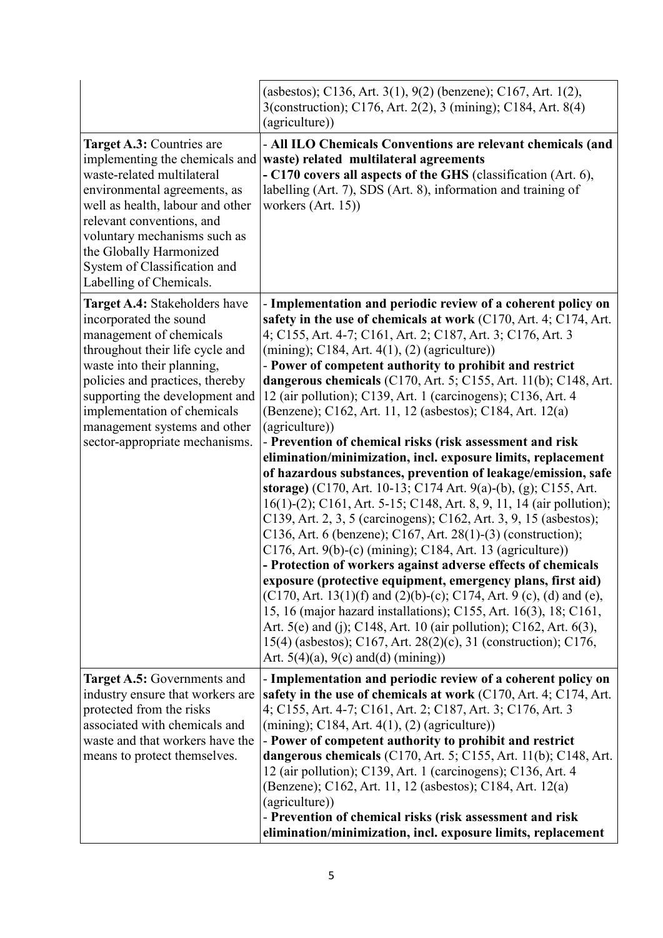| Target A.3: Countries are<br>implementing the chemicals and<br>waste-related multilateral<br>environmental agreements, as<br>well as health, labour and other<br>relevant conventions, and<br>voluntary mechanisms such as<br>the Globally Harmonized<br>System of Classification and<br>Labelling of Chemicals.          | (asbestos); C136, Art. 3(1), 9(2) (benzene); C167, Art. 1(2),<br>3(construction); C176, Art. 2(2), 3 (mining); C184, Art. 8(4)<br>(agriculture))<br>- All ILO Chemicals Conventions are relevant chemicals (and<br>waste) related multilateral agreements<br>- C170 covers all aspects of the GHS (classification (Art. 6),<br>labelling (Art. 7), SDS (Art. 8), information and training of<br>workers $(Art. 15)$                                                                                                                                                                                                                                                                                                                                                                                                                                                                                                                                                                                                                                                                                                                                                                                                                                                                                                                                                                                                                                                                                                                                  |
|---------------------------------------------------------------------------------------------------------------------------------------------------------------------------------------------------------------------------------------------------------------------------------------------------------------------------|------------------------------------------------------------------------------------------------------------------------------------------------------------------------------------------------------------------------------------------------------------------------------------------------------------------------------------------------------------------------------------------------------------------------------------------------------------------------------------------------------------------------------------------------------------------------------------------------------------------------------------------------------------------------------------------------------------------------------------------------------------------------------------------------------------------------------------------------------------------------------------------------------------------------------------------------------------------------------------------------------------------------------------------------------------------------------------------------------------------------------------------------------------------------------------------------------------------------------------------------------------------------------------------------------------------------------------------------------------------------------------------------------------------------------------------------------------------------------------------------------------------------------------------------------|
| Target A.4: Stakeholders have<br>incorporated the sound<br>management of chemicals<br>throughout their life cycle and<br>waste into their planning,<br>policies and practices, thereby<br>supporting the development and<br>implementation of chemicals<br>management systems and other<br>sector-appropriate mechanisms. | - Implementation and periodic review of a coherent policy on<br>safety in the use of chemicals at work (C170, Art. 4; C174, Art.<br>4; C155, Art. 4-7; C161, Art. 2; C187, Art. 3; C176, Art. 3<br>$(\text{mining})$ ; C184, Art. 4(1), (2) (agriculture))<br>- Power of competent authority to prohibit and restrict<br>dangerous chemicals (C170, Art. 5; C155, Art. 11(b); C148, Art.<br>12 (air pollution); C139, Art. 1 (carcinogens); C136, Art. 4<br>(Benzene); C162, Art. 11, 12 (asbestos); C184, Art. 12(a)<br>(agriculture))<br>- Prevention of chemical risks (risk assessment and risk<br>elimination/minimization, incl. exposure limits, replacement<br>of hazardous substances, prevention of leakage/emission, safe<br>storage) (C170, Art. 10-13; C174 Art. 9(a)-(b), (g); C155, Art.<br>16(1)-(2); C161, Art. 5-15; C148, Art. 8, 9, 11, 14 (air pollution);<br>C139, Art. 2, 3, 5 (carcinogens); C162, Art. 3, 9, 15 (asbestos);<br>C136, Art. 6 (benzene); C167, Art. 28(1)-(3) (construction);<br>$C176$ , Art. 9(b)-(c) (mining); C184, Art. 13 (agriculture))<br>- Protection of workers against adverse effects of chemicals<br>exposure (protective equipment, emergency plans, first aid)<br>(C170, Art. 13(1)(f) and (2)(b)-(c); C174, Art. 9 (c), (d) and (e),<br>15, 16 (major hazard installations); C155, Art. 16(3), 18; C161,<br>Art. 5(e) and (j); C148, Art. 10 (air pollution); C162, Art. 6(3),<br>15(4) (asbestos); C167, Art. 28(2)(c), 31 (construction); C176,<br>Art. $5(4)(a)$ , $9(c)$ and(d) (mining)) |
| Target A.5: Governments and<br>industry ensure that workers are<br>protected from the risks<br>associated with chemicals and<br>waste and that workers have the<br>means to protect themselves.                                                                                                                           | - Implementation and periodic review of a coherent policy on<br>safety in the use of chemicals at work (C170, Art. 4; C174, Art.<br>4; C155, Art. 4-7; C161, Art. 2; C187, Art. 3; C176, Art. 3<br>$(\text{mining})$ ; C184, Art. 4(1), (2) (agriculture))<br>- Power of competent authority to prohibit and restrict<br>dangerous chemicals $(C170, Art. 5; C155, Art. 11(b); C148, Art.$<br>12 (air pollution); C139, Art. 1 (carcinogens); C136, Art. 4<br>(Benzene); C162, Art. 11, 12 (asbestos); C184, Art. 12(a)<br>(agriculture))<br>- Prevention of chemical risks (risk assessment and risk<br>elimination/minimization, incl. exposure limits, replacement                                                                                                                                                                                                                                                                                                                                                                                                                                                                                                                                                                                                                                                                                                                                                                                                                                                                                |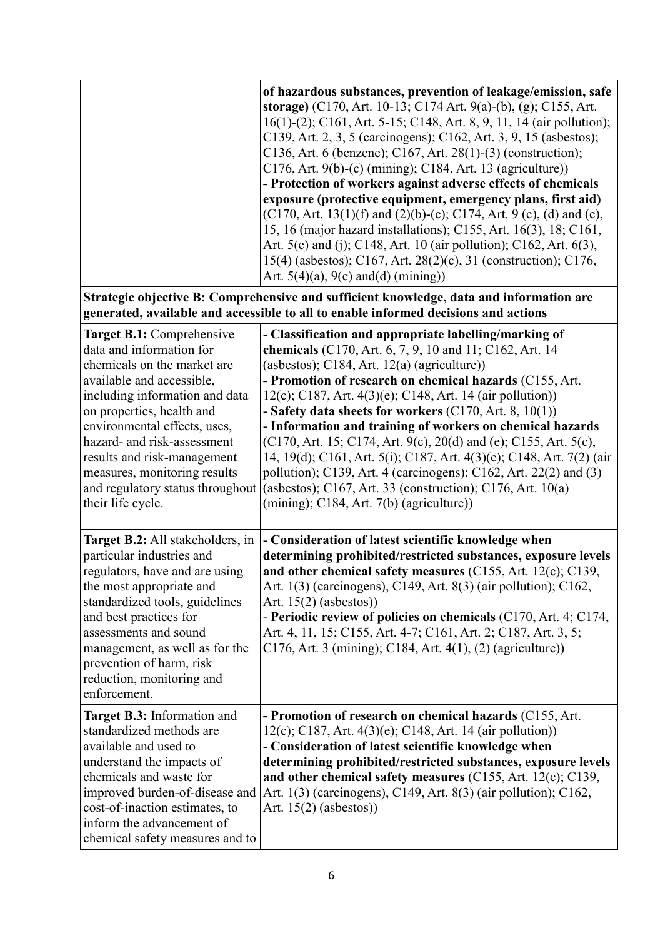|                                                                                                                                                                                                                                                                                                                                                                         | of hazardous substances, prevention of leakage/emission, safe<br>storage) (C170, Art. 10-13; C174 Art. 9(a)-(b), (g); C155, Art.<br>16(1)-(2); C161, Art. 5-15; C148, Art. 8, 9, 11, 14 (air pollution);<br>C139, Art. 2, 3, 5 (carcinogens); C162, Art. 3, 9, 15 (asbestos);<br>C136, Art. 6 (benzene); C167, Art. 28(1)-(3) (construction);<br>$C176$ , Art. 9(b)-(c) (mining); C184, Art. 13 (agriculture))<br>- Protection of workers against adverse effects of chemicals<br>exposure (protective equipment, emergency plans, first aid)<br>$(C170, Art. 13(1)(f)$ and $(2)(b)-(c)$ ; C174, Art. 9 (c), (d) and (e),<br>15, 16 (major hazard installations); C155, Art. 16(3), 18; C161,<br>Art. 5(e) and (j); C148, Art. 10 (air pollution); C162, Art. 6(3),<br>15(4) (asbestos); C167, Art. 28(2)(c), 31 (construction); C176,<br>Art. $5(4)(a)$ , $9(c)$ and(d) (mining)) |
|-------------------------------------------------------------------------------------------------------------------------------------------------------------------------------------------------------------------------------------------------------------------------------------------------------------------------------------------------------------------------|------------------------------------------------------------------------------------------------------------------------------------------------------------------------------------------------------------------------------------------------------------------------------------------------------------------------------------------------------------------------------------------------------------------------------------------------------------------------------------------------------------------------------------------------------------------------------------------------------------------------------------------------------------------------------------------------------------------------------------------------------------------------------------------------------------------------------------------------------------------------------------|
|                                                                                                                                                                                                                                                                                                                                                                         | Strategic objective B: Comprehensive and sufficient knowledge, data and information are<br>generated, available and accessible to all to enable informed decisions and actions                                                                                                                                                                                                                                                                                                                                                                                                                                                                                                                                                                                                                                                                                                     |
| Target B.1: Comprehensive<br>data and information for<br>chemicals on the market are<br>available and accessible,<br>including information and data<br>on properties, health and<br>environmental effects, uses,<br>hazard- and risk-assessment<br>results and risk-management<br>measures, monitoring results<br>and regulatory status throughout<br>their life cycle. | - Classification and appropriate labelling/marking of<br>chemicals (C170, Art. 6, 7, 9, 10 and 11; C162, Art. 14<br>(asbestos); $C184$ , Art. $12(a)$ (agriculture))<br>- Promotion of research on chemical hazards (C155, Art.<br>12(c); C187, Art. 4(3)(e); C148, Art. 14 (air pollution))<br>- Safety data sheets for workers $(C170, Art. 8, 10(1))$<br>- Information and training of workers on chemical hazards<br>(C170, Art. 15; C174, Art. 9(c), 20(d) and (e); C155, Art. 5(c),<br>14, 19(d); C161, Art. 5(i); C187, Art. 4(3)(c); C148, Art. 7(2) (air<br>pollution); C139, Art. 4 (carcinogens); C162, Art. 22(2) and (3)<br>(asbestos); $C167$ , Art. 33 (construction); $C176$ , Art. 10(a)<br>$(\text{mining})$ ; C184, Art. 7(b) (agriculture))                                                                                                                    |
| Target B.2: All stakeholders, in<br>particular industries and<br>regulators, have and are using<br>the most appropriate and<br>standardized tools, guidelines<br>and best practices for<br>assessments and sound<br>management, as well as for the<br>prevention of harm, risk<br>reduction, monitoring and<br>enforcement.                                             | - Consideration of latest scientific knowledge when<br>determining prohibited/restricted substances, exposure levels<br>and other chemical safety measures (C155, Art. 12(c); C139,<br>Art. 1(3) (carcinogens), C149, Art. 8(3) (air pollution); C162,<br>Art. $15(2)$ (asbestos))<br>- Periodic review of policies on chemicals $(C170, Art. 4; C174,$<br>Art. 4, 11, 15; C155, Art. 4-7; C161, Art. 2; C187, Art. 3, 5;<br>$C176$ , Art. 3 (mining); C184, Art. 4(1), (2) (agriculture))                                                                                                                                                                                                                                                                                                                                                                                         |
| Target B.3: Information and<br>standardized methods are<br>available and used to<br>understand the impacts of<br>chemicals and waste for<br>improved burden-of-disease and<br>cost-of-inaction estimates, to<br>inform the advancement of<br>chemical safety measures and to                                                                                            | - Promotion of research on chemical hazards (C155, Art.<br>$12(c)$ ; C187, Art. 4(3)(e); C148, Art. 14 (air pollution))<br>- Consideration of latest scientific knowledge when<br>determining prohibited/restricted substances, exposure levels<br>and other chemical safety measures $(C155, Art. 12(c); C139,$<br>Art. 1(3) (carcinogens), C149, Art. 8(3) (air pollution); C162,<br>Art. $15(2)$ (asbestos))                                                                                                                                                                                                                                                                                                                                                                                                                                                                    |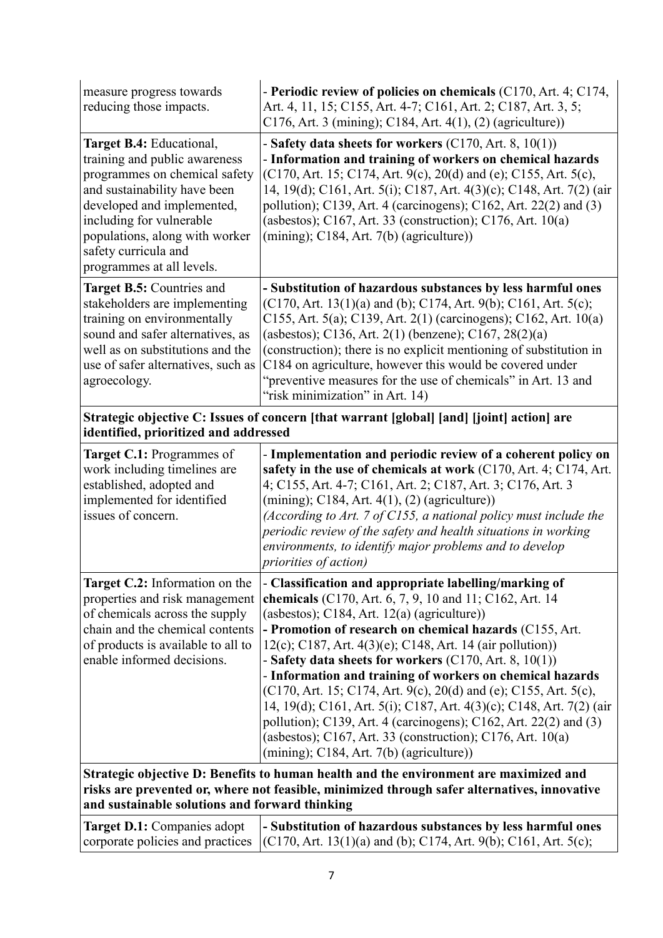| measure progress towards<br>reducing those impacts.                                                                                                                                                                                                                         | - Periodic review of policies on chemicals (C170, Art. 4; C174,<br>Art. 4, 11, 15; C155, Art. 4-7; C161, Art. 2; C187, Art. 3, 5;<br>$C176$ , Art. 3 (mining); C184, Art. 4(1), (2) (agriculture))                                                                                                                                                                                                                                                                                                                                                                                                                                                                                                                                                      |  |  |
|-----------------------------------------------------------------------------------------------------------------------------------------------------------------------------------------------------------------------------------------------------------------------------|---------------------------------------------------------------------------------------------------------------------------------------------------------------------------------------------------------------------------------------------------------------------------------------------------------------------------------------------------------------------------------------------------------------------------------------------------------------------------------------------------------------------------------------------------------------------------------------------------------------------------------------------------------------------------------------------------------------------------------------------------------|--|--|
| Target B.4: Educational,<br>training and public awareness<br>programmes on chemical safety<br>and sustainability have been<br>developed and implemented,<br>including for vulnerable<br>populations, along with worker<br>safety curricula and<br>programmes at all levels. | - Safety data sheets for workers $(C170, Art. 8, 10(1))$<br>- Information and training of workers on chemical hazards<br>(C170, Art. 15; C174, Art. 9(c), 20(d) and (e); C155, Art. 5(c),<br>14, 19(d); C161, Art. 5(i); C187, Art. 4(3)(c); C148, Art. 7(2) (air<br>pollution); C139, Art. 4 (carcinogens); C162, Art. 22(2) and (3)<br>(asbestos); C167, Art. 33 (construction); C176, Art. $10(a)$<br>$(min)$ ; C184, Art. 7(b) (agriculture))                                                                                                                                                                                                                                                                                                       |  |  |
| Target B.5: Countries and<br>stakeholders are implementing<br>training on environmentally<br>sound and safer alternatives, as<br>well as on substitutions and the<br>use of safer alternatives, such as<br>agroecology.                                                     | - Substitution of hazardous substances by less harmful ones<br>$(C170, Art. 13(1)(a)$ and (b); C174, Art. 9(b); C161, Art. 5(c);<br>C155, Art. 5(a); C139, Art. 2(1) (carcinogens); C162, Art. 10(a)<br>(asbestos); C136, Art. 2(1) (benzene); C167, 28(2)(a)<br>(construction); there is no explicit mentioning of substitution in<br>C184 on agriculture, however this would be covered under<br>"preventive measures for the use of chemicals" in Art. 13 and<br>"risk minimization" in Art. 14)                                                                                                                                                                                                                                                     |  |  |
| Strategic objective C: Issues of concern [that warrant [global] [and] [joint] action] are<br>identified, prioritized and addressed                                                                                                                                          |                                                                                                                                                                                                                                                                                                                                                                                                                                                                                                                                                                                                                                                                                                                                                         |  |  |
| Target C.1: Programmes of<br>work including timelines are<br>established, adopted and<br>implemented for identified<br>issues of concern.                                                                                                                                   | - Implementation and periodic review of a coherent policy on<br>safety in the use of chemicals at work (C170, Art. 4; C174, Art.<br>4; C155, Art. 4-7; C161, Art. 2; C187, Art. 3; C176, Art. 3<br>$(\text{mining})$ ; C184, Art. 4(1), (2) (agriculture))<br>(According to Art. 7 of C155, a national policy must include the<br>periodic review of the safety and health situations in working<br>environments, to identify major problems and to develop<br>priorities of action)                                                                                                                                                                                                                                                                    |  |  |
| Target C.2: Information on the<br>properties and risk management<br>of chemicals across the supply<br>chain and the chemical contents<br>of products is available to all to<br>enable informed decisions.                                                                   | - Classification and appropriate labelling/marking of<br>chemicals (C170, Art. 6, 7, 9, 10 and 11; C162, Art. 14<br>(asbestos); $C184$ , Art. $12(a)$ (agriculture))<br>- Promotion of research on chemical hazards (C155, Art.<br>$12(c)$ ; C187, Art. 4(3)(e); C148, Art. 14 (air pollution))<br>- Safety data sheets for workers (C170, Art. 8, 10(1))<br>- Information and training of workers on chemical hazards<br>(C170, Art. 15; C174, Art. 9(c), 20(d) and (e); C155, Art. 5(c),<br>14, 19(d); C161, Art. 5(i); C187, Art. 4(3)(c); C148, Art. 7(2) (air<br>pollution); C139, Art. 4 (carcinogens); C162, Art. 22(2) and $(3)$<br>(asbestos); C167, Art. 33 (construction); C176, Art. $10(a)$<br>$(mining)$ ; C184, Art. 7(b) (agriculture)) |  |  |
| Strategic objective D: Benefits to human health and the environment are maximized and<br>risks are prevented or, where not feasible, minimized through safer alternatives, innovative<br>and sustainable solutions and forward thinking                                     |                                                                                                                                                                                                                                                                                                                                                                                                                                                                                                                                                                                                                                                                                                                                                         |  |  |
| Target D.1: Companies adopt<br>corporate policies and practices                                                                                                                                                                                                             | - Substitution of hazardous substances by less harmful ones<br>$(C170, Art. 13(1)(a)$ and (b); C174, Art. 9(b); C161, Art. 5(c);                                                                                                                                                                                                                                                                                                                                                                                                                                                                                                                                                                                                                        |  |  |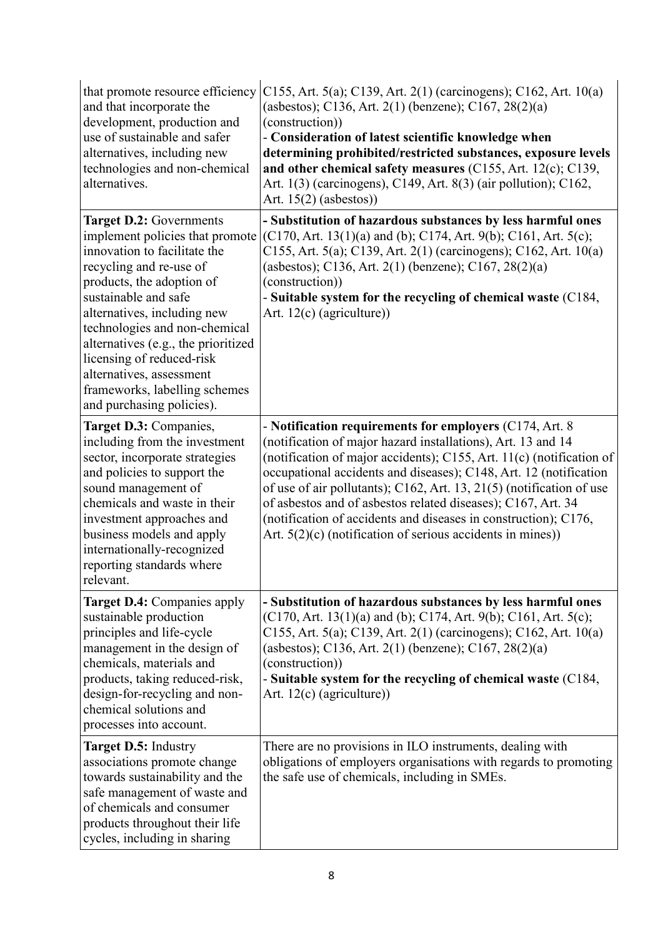| that promote resource efficiency<br>and that incorporate the<br>development, production and<br>use of sustainable and safer<br>alternatives, including new<br>technologies and non-chemical<br>alternatives.                                                                                                                                                                                             | C155, Art. 5(a); C139, Art. 2(1) (carcinogens); C162, Art. 10(a)<br>(asbestos); C136, Art. 2(1) (benzene); C167, 28(2)(a)<br>(construction))<br>- Consideration of latest scientific knowledge when<br>determining prohibited/restricted substances, exposure levels<br>and other chemical safety measures $(C155, Art. 12(c); C139,$<br>Art. 1(3) (carcinogens), C149, Art. 8(3) (air pollution); C162,<br>Art. $15(2)$ (asbestos))                                                                                                             |  |
|----------------------------------------------------------------------------------------------------------------------------------------------------------------------------------------------------------------------------------------------------------------------------------------------------------------------------------------------------------------------------------------------------------|--------------------------------------------------------------------------------------------------------------------------------------------------------------------------------------------------------------------------------------------------------------------------------------------------------------------------------------------------------------------------------------------------------------------------------------------------------------------------------------------------------------------------------------------------|--|
| Target D.2: Governments<br>implement policies that promote<br>innovation to facilitate the<br>recycling and re-use of<br>products, the adoption of<br>sustainable and safe<br>alternatives, including new<br>technologies and non-chemical<br>alternatives (e.g., the prioritized<br>licensing of reduced-risk<br>alternatives, assessment<br>frameworks, labelling schemes<br>and purchasing policies). | - Substitution of hazardous substances by less harmful ones<br>$(C170, Art. 13(1)(a)$ and (b); C174, Art. 9(b); C161, Art. 5(c);<br>C155, Art. 5(a); C139, Art. 2(1) (carcinogens); C162, Art. 10(a)<br>(asbestos); C136, Art. 2(1) (benzene); C167, 28(2)(a)<br>(construction))<br>- Suitable system for the recycling of chemical waste (C184,<br>Art. $12(c)$ (agriculture))                                                                                                                                                                  |  |
| Target D.3: Companies,<br>including from the investment<br>sector, incorporate strategies<br>and policies to support the<br>sound management of<br>chemicals and waste in their<br>investment approaches and<br>business models and apply<br>internationally-recognized<br>reporting standards where<br>relevant.                                                                                        | - Notification requirements for employers (C174, Art. 8)<br>(notification of major hazard installations), Art. 13 and 14<br>(notification of major accidents); C155, Art. 11(c) (notification of<br>occupational accidents and diseases); C148, Art. 12 (notification<br>of use of air pollutants); C162, Art. 13, 21(5) (notification of use<br>of asbestos and of asbestos related diseases); C167, Art. 34<br>(notification of accidents and diseases in construction); C176,<br>Art. $5(2)(c)$ (notification of serious accidents in mines)) |  |
| <b>Target D.4: Companies apply</b><br>sustainable production<br>principles and life-cycle<br>management in the design of<br>chemicals, materials and<br>products, taking reduced-risk,<br>design-for-recycling and non-<br>chemical solutions and<br>processes into account.                                                                                                                             | - Substitution of hazardous substances by less harmful ones<br>$(C170, Art. 13(1)(a)$ and (b); C174, Art. 9(b); C161, Art. 5(c);<br>C155, Art. 5(a); C139, Art. 2(1) (carcinogens); C162, Art. 10(a)<br>(asbestos); C136, Art. 2(1) (benzene); C167, 28(2)(a)<br>(construction))<br>- Suitable system for the recycling of chemical waste (C184,<br>Art. $12(c)$ (agriculture))                                                                                                                                                                  |  |
| <b>Target D.5: Industry</b><br>associations promote change<br>towards sustainability and the<br>safe management of waste and<br>of chemicals and consumer<br>products throughout their life<br>cycles, including in sharing                                                                                                                                                                              | There are no provisions in ILO instruments, dealing with<br>obligations of employers organisations with regards to promoting<br>the safe use of chemicals, including in SMEs.                                                                                                                                                                                                                                                                                                                                                                    |  |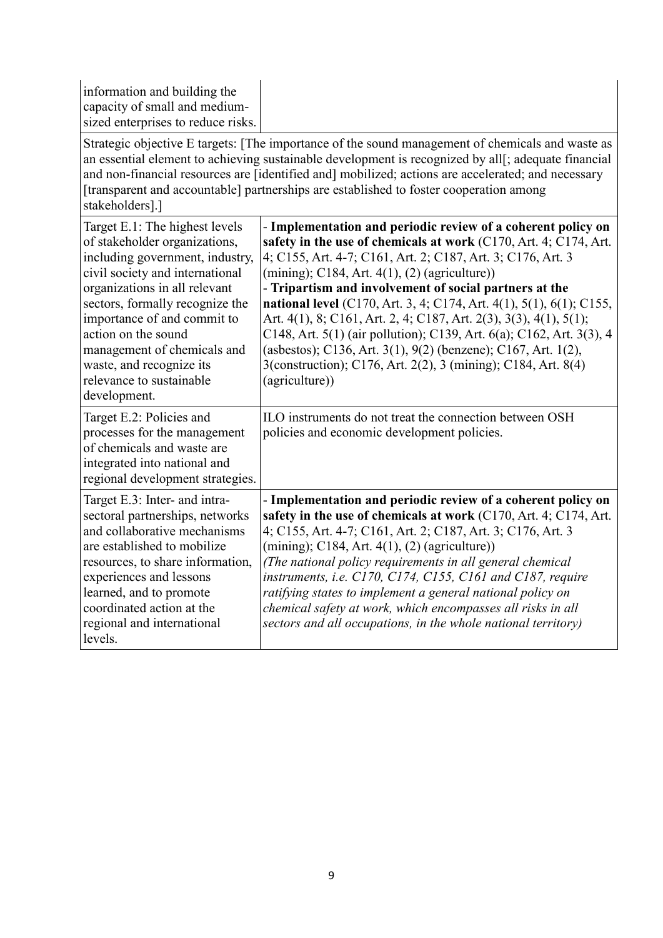| information and building the<br>capacity of small and medium-<br>sized enterprises to reduce risks.                                                                                                                                                                                                                                                                    |                                                                                                                                                                                                                                                                                                                                                                                                                                                                                                                                                                                                                                                                                                     |
|------------------------------------------------------------------------------------------------------------------------------------------------------------------------------------------------------------------------------------------------------------------------------------------------------------------------------------------------------------------------|-----------------------------------------------------------------------------------------------------------------------------------------------------------------------------------------------------------------------------------------------------------------------------------------------------------------------------------------------------------------------------------------------------------------------------------------------------------------------------------------------------------------------------------------------------------------------------------------------------------------------------------------------------------------------------------------------------|
| stakeholders].]                                                                                                                                                                                                                                                                                                                                                        | Strategic objective E targets: [The importance of the sound management of chemicals and waste as<br>an essential element to achieving sustainable development is recognized by all[; adequate financial<br>and non-financial resources are [identified and] mobilized; actions are accelerated; and necessary<br>[transparent and accountable] partnerships are established to foster cooperation among                                                                                                                                                                                                                                                                                             |
| Target E.1: The highest levels<br>of stakeholder organizations,<br>including government, industry,<br>civil society and international<br>organizations in all relevant<br>sectors, formally recognize the<br>importance of and commit to<br>action on the sound<br>management of chemicals and<br>waste, and recognize its<br>relevance to sustainable<br>development. | - Implementation and periodic review of a coherent policy on<br>safety in the use of chemicals at work (C170, Art. 4; C174, Art.<br>4; C155, Art. 4-7; C161, Art. 2; C187, Art. 3; C176, Art. 3<br>$(\text{mining})$ ; C184, Art. 4(1), (2) (agriculture))<br>- Tripartism and involvement of social partners at the<br><b>national level</b> (C170, Art. 3, 4; C174, Art. 4(1), 5(1), 6(1); C155,<br>Art. 4(1), 8; C161, Art. 2, 4; C187, Art. 2(3), 3(3), 4(1), 5(1);<br>C148, Art. 5(1) (air pollution); C139, Art. 6(a); C162, Art. 3(3), 4<br>(asbestos); C136, Art. 3(1), 9(2) (benzene); C167, Art. 1(2),<br>3(construction); C176, Art. 2(2), 3 (mining); C184, Art. 8(4)<br>(agriculture)) |
| Target E.2: Policies and<br>processes for the management<br>of chemicals and waste are<br>integrated into national and<br>regional development strategies.                                                                                                                                                                                                             | ILO instruments do not treat the connection between OSH<br>policies and economic development policies.                                                                                                                                                                                                                                                                                                                                                                                                                                                                                                                                                                                              |
| Target E.3: Inter- and intra-<br>sectoral partnerships, networks<br>and collaborative mechanisms<br>are established to mobilize<br>resources, to share information,<br>experiences and lessons<br>learned, and to promote<br>coordinated action at the<br>regional and international<br>levels.                                                                        | - Implementation and periodic review of a coherent policy on<br>safety in the use of chemicals at work (C170, Art. 4; C174, Art.<br>4; C155, Art. 4-7; C161, Art. 2; C187, Art. 3; C176, Art. 3<br>$(mining)$ ; C184, Art. 4(1), (2) (agriculture))<br>(The national policy requirements in all general chemical<br>instruments, i.e. C170, C174, C155, C161 and C187, require<br>ratifying states to implement a general national policy on<br>chemical safety at work, which encompasses all risks in all<br>sectors and all occupations, in the whole national territory)                                                                                                                        |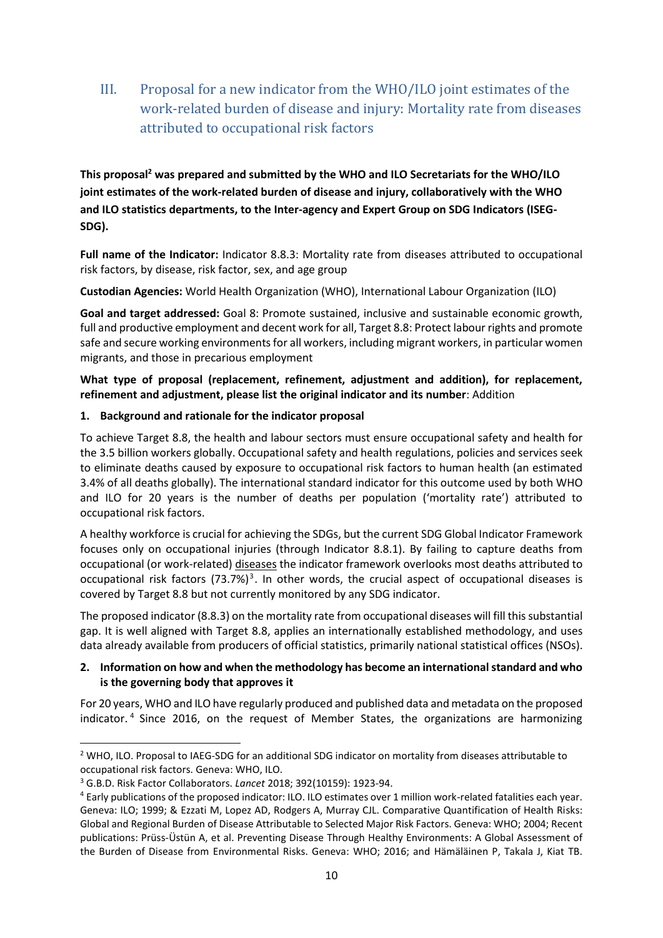III. Proposal for a new indicator from the WHO/ILO joint estimates of the work-related burden of disease and injury: Mortality rate from diseases attributed to occupational risk factors

**This proposal<sup>2</sup> was prepared and submitted by the WHO and ILO Secretariats for the WHO/ILO joint estimates of the work-related burden of disease and injury, collaboratively with the WHO and ILO statistics departments, to the Inter-agency and Expert Group on SDG Indicators (ISEG-SDG).**

**Full name of the Indicator:** Indicator 8.8.3: Mortality rate from diseases attributed to occupational risk factors, by disease, risk factor, sex, and age group

**Custodian Agencies:** World Health Organization (WHO), International Labour Organization (ILO)

**Goal and target addressed:** Goal 8: Promote sustained, inclusive and sustainable economic growth, full and productive employment and decent work for all, Target 8.8: Protect labour rights and promote safe and secure working environments for all workers, including migrant workers, in particular women migrants, and those in precarious employment

**What type of proposal (replacement, refinement, adjustment and addition), for replacement, refinement and adjustment, please list the original indicator and its number**: Addition

### **1. Background and rationale for the indicator proposal**

To achieve Target 8.8, the health and labour sectors must ensure occupational safety and health for the 3.5 billion workers globally. Occupational safety and health regulations, policies and services seek to eliminate deaths caused by exposure to occupational risk factors to human health (an estimated 3.4% of all deaths globally). The international standard indicator for this outcome used by both WHO and ILO for 20 years is the number of deaths per population ('mortality rate') attributed to occupational risk factors.

A healthy workforce is crucial for achieving the SDGs, but the current SDG Global Indicator Framework focuses only on occupational injuries (through Indicator 8.8.1). By failing to capture deaths from occupational (or work-related) diseases the indicator framework overlooks most deaths attributed to occupational risk factors (73.7%)<sup>3</sup>. In other words, the crucial aspect of occupational diseases is covered by Target 8.8 but not currently monitored by any SDG indicator.

The proposed indicator (8.8.3) on the mortality rate from occupational diseases will fill this substantial gap. It is well aligned with Target 8.8, applies an internationally established methodology, and uses data already available from producers of official statistics, primarily national statistical offices (NSOs).

### **2. Information on how and when the methodology has become an international standard and who is the governing body that approves it**

For 20 years, WHO and ILO have regularly produced and published data and metadata on the proposed indicator. <sup>4</sup> Since 2016, on the request of Member States, the organizations are harmonizing

1

<sup>2</sup> WHO, ILO. Proposal to IAEG-SDG for an additional SDG indicator on mortality from diseases attributable to occupational risk factors. Geneva: WHO, ILO.

<sup>3</sup> G.B.D. Risk Factor Collaborators. *Lancet* 2018; 392(10159): 1923-94.

<sup>4</sup> Early publications of the proposed indicator: ILO. ILO estimates over 1 million work-related fatalities each year. Geneva: ILO; 1999; & Ezzati M, Lopez AD, Rodgers A, Murray CJL. Comparative Quantification of Health Risks: Global and Regional Burden of Disease Attributable to Selected Major Risk Factors. Geneva: WHO; 2004; Recent publications: Prüss-Üstün A, et al. Preventing Disease Through Healthy Environments: A Global Assessment of the Burden of Disease from Environmental Risks. Geneva: WHO; 2016; and Hämäläinen P, Takala J, Kiat TB.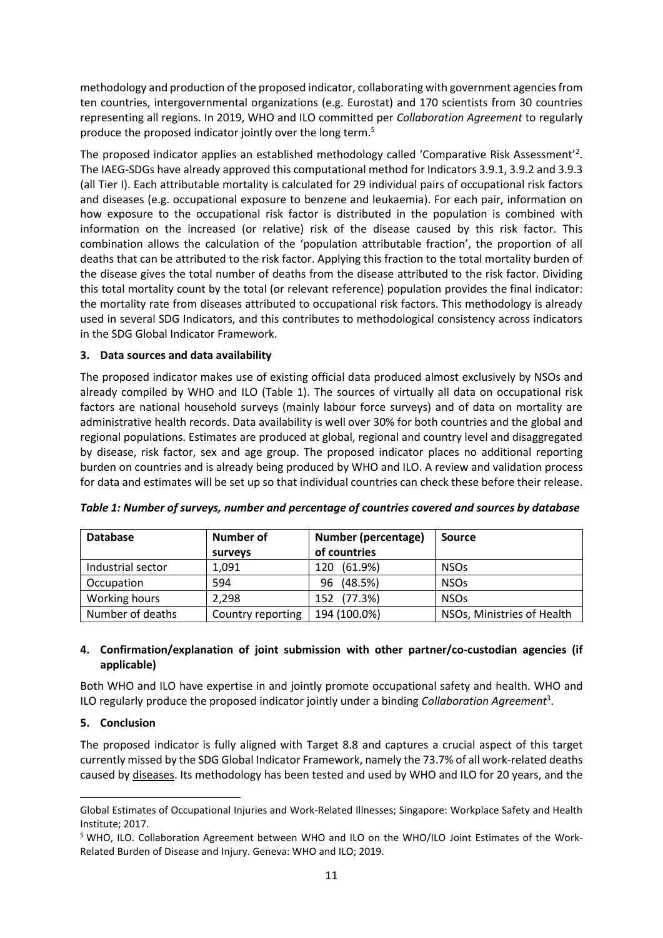methodology and production of the proposed indicator, collaborating with government agencies from ten countries, intergovernmental organizations (e.g. Eurostat) and 170 scientists from 30 countries representing all regions. In 2019, WHO and ILO committed per *Collaboration Agreement* to regularly produce the proposed indicator jointly over the long term.<sup>5</sup>

The proposed indicator applies an established methodology called 'Comparative Risk Assessment'<sup>2</sup>. The IAEG-SDGs have already approved this computational method for Indicators 3.9.1, 3.9.2 and 3.9.3 (all Tier I). Each attributable mortality is calculated for 29 individual pairs of occupational risk factors and diseases (e.g. occupational exposure to benzene and leukaemia). For each pair, information on how exposure to the occupational risk factor is distributed in the population is combined with information on the increased (or relative) risk of the disease caused by this risk factor. This combination allows the calculation of the 'population attributable fraction', the proportion of all deaths that can be attributed to the risk factor. Applying this fraction to the total mortality burden of the disease gives the total number of deaths from the disease attributed to the risk factor. Dividing this total mortality count by the total (or relevant reference) population provides the final indicator: the mortality rate from diseases attributed to occupational risk factors. This methodology is already used in several SDG Indicators, and this contributes to methodological consistency across indicators in the SDG Global Indicator Framework.

### **3. Data sources and data availability**

The proposed indicator makes use of existing official data produced almost exclusively by NSOs and already compiled by WHO and ILO (Table 1). The sources of virtually all data on occupational risk factors are national household surveys (mainly labour force surveys) and of data on mortality are administrative health records. Data availability is well over 30% for both countries and the global and regional populations. Estimates are produced at global, regional and country level and disaggregated by disease, risk factor, sex and age group. The proposed indicator places no additional reporting burden on countries and is already being produced by WHO and ILO. A review and validation process for data and estimates will be set up so that individual countries can check these before their release.

| <b>Database</b>   | Number of<br>surveys | Number (percentage)<br>of countries | <b>Source</b>              |
|-------------------|----------------------|-------------------------------------|----------------------------|
| Industrial sector | 1,091                | $(61.9\%)$<br>120                   | <b>NSOs</b>                |
| Occupation        | 594                  | (48.5%)<br>96                       | <b>NSOs</b>                |
| Working hours     | 2,298                | (77.3%)<br>152                      | <b>NSOs</b>                |
| Number of deaths  | Country reporting    | 194 (100.0%)                        | NSOs, Ministries of Health |

*Table 1: Number of surveys, number and percentage of countries covered and sources by database*

#### **4. Confirmation/explanation of joint submission with other partner/co-custodian agencies (if applicable)**

Both WHO and ILO have expertise in and jointly promote occupational safety and health. WHO and ILO regularly produce the proposed indicator jointly under a binding *Collaboration Agreement*<sup>3</sup> .

#### **5. Conclusion**

1

The proposed indicator is fully aligned with Target 8.8 and captures a crucial aspect of this target currently missed by the SDG Global Indicator Framework, namely the 73.7% of all work-related deaths caused by diseases. Its methodology has been tested and used by WHO and ILO for 20 years, and the

Global Estimates of Occupational Injuries and Work-Related Illnesses; Singapore: Workplace Safety and Health Institute; 2017.

<sup>5</sup> WHO, ILO. Collaboration Agreement between WHO and ILO on the WHO/ILO Joint Estimates of the Work-Related Burden of Disease and Injury. Geneva: WHO and ILO; 2019.